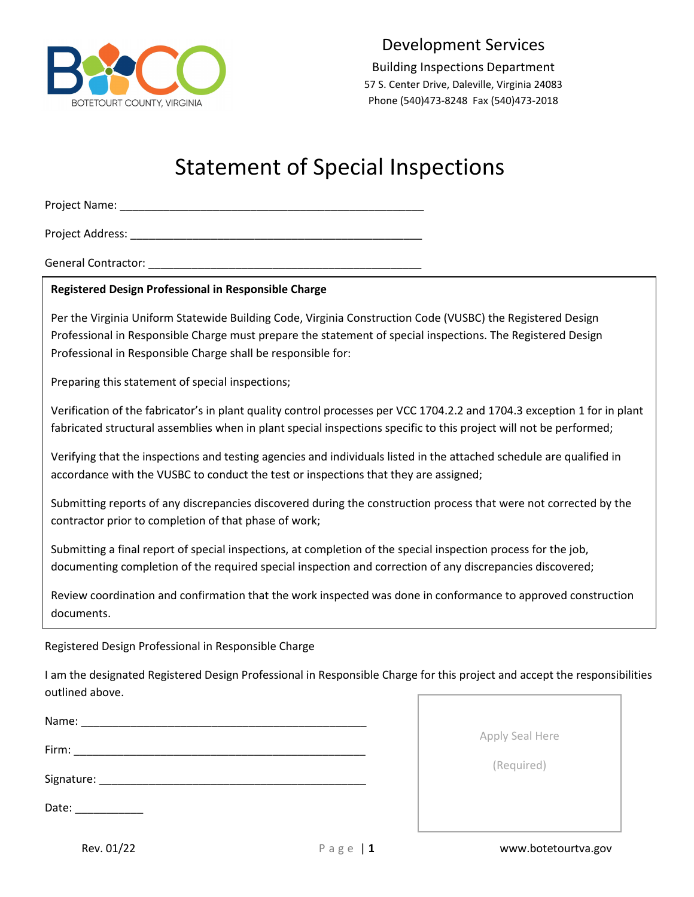

Development Services

Building Inspections Department 57 S. Center Drive, Daleville, Virginia 24083 Phone (540)473-8248 Fax (540)473-2018

# Statement of Special Inspections

Project Name: \_\_\_\_\_\_\_\_\_\_\_\_\_\_\_\_\_\_\_\_\_\_\_\_\_\_\_\_\_\_\_\_\_\_\_\_\_\_\_\_\_\_\_\_\_\_\_\_\_

Project Address: \_\_\_\_\_\_\_\_\_\_\_\_\_\_\_\_\_\_\_\_\_\_\_\_\_\_\_\_\_\_\_\_\_\_\_\_\_\_\_\_\_\_\_\_\_\_\_

General Contractor: \_\_\_\_\_\_\_\_\_\_\_\_\_\_\_\_\_\_\_\_\_\_\_\_\_\_\_\_\_\_\_\_\_\_\_\_\_\_\_\_\_\_\_\_

# **Registered Design Professional in Responsible Charge**

Per the Virginia Uniform Statewide Building Code, Virginia Construction Code (VUSBC) the Registered Design Professional in Responsible Charge must prepare the statement of special inspections. The Registered Design Professional in Responsible Charge shall be responsible for:

Preparing this statement of special inspections;

Verification of the fabricator's in plant quality control processes per VCC 1704.2.2 and 1704.3 exception 1 for in plant fabricated structural assemblies when in plant special inspections specific to this project will not be performed;

Verifying that the inspections and testing agencies and individuals listed in the attached schedule are qualified in accordance with the VUSBC to conduct the test or inspections that they are assigned;

Submitting reports of any discrepancies discovered during the construction process that were not corrected by the contractor prior to completion of that phase of work;

Submitting a final report of special inspections, at completion of the special inspection process for the job, documenting completion of the required special inspection and correction of any discrepancies discovered;

Review coordination and confirmation that the work inspected was done in conformance to approved construction documents.

# Registered Design Professional in Responsible Charge

I am the designated Registered Design Professional in Responsible Charge for this project and accept the responsibilities outlined above.

| Name:                                   |  |  |  |
|-----------------------------------------|--|--|--|
| Firm:                                   |  |  |  |
| Signature: Management of the Signature: |  |  |  |
| Date:                                   |  |  |  |

Apply Seal Here

(Required)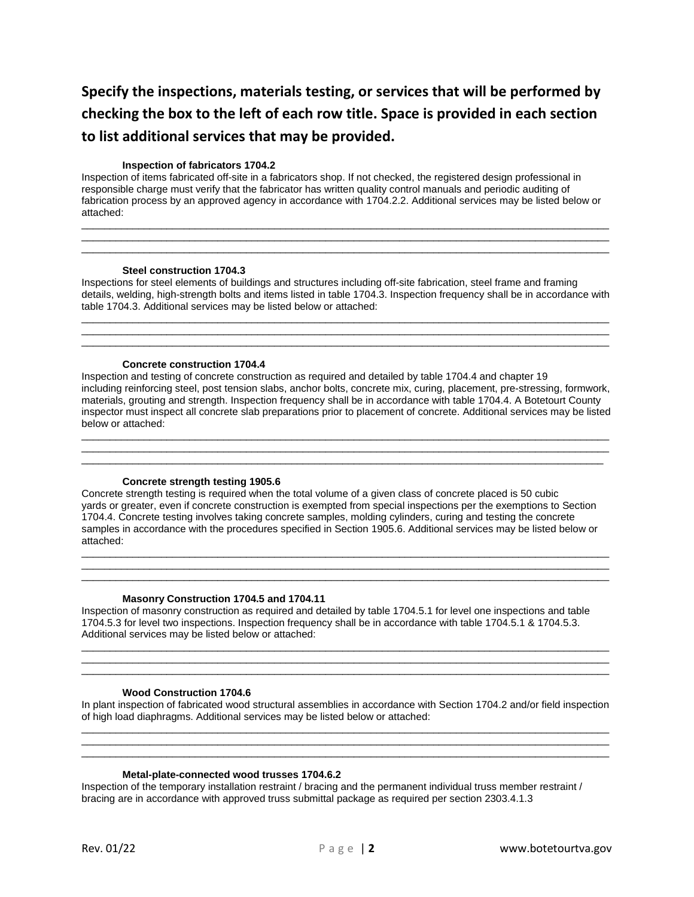# **Specify the inspections, materials testing, or services that will be performed by checking the box to the left of each row title. Space is provided in each section to list additional services that may be provided.**

#### **Inspection of fabricators 1704.2**

Inspection of items fabricated off-site in a fabricators shop. If not checked, the registered design professional in responsible charge must verify that the fabricator has written quality control manuals and periodic auditing of fabrication process by an approved agency in accordance with 1704.2.2. Additional services may be listed below or attached:

 $\_$  ,  $\_$  ,  $\_$  ,  $\_$  ,  $\_$  ,  $\_$  ,  $\_$  ,  $\_$  ,  $\_$  ,  $\_$  ,  $\_$  ,  $\_$  ,  $\_$  ,  $\_$  ,  $\_$  ,  $\_$  ,  $\_$  ,  $\_$  ,  $\_$  ,  $\_$  ,  $\_$  ,  $\_$  ,  $\_$  ,  $\_$  ,  $\_$  ,  $\_$  ,  $\_$  ,  $\_$  ,  $\_$  ,  $\_$  ,  $\_$  ,  $\_$  ,  $\_$  ,  $\_$  ,  $\_$  ,  $\_$  ,  $\_$  ,  $\overline{\phantom{a}}$  ,  $\overline{\phantom{a}}$  ,  $\overline{\phantom{a}}$  ,  $\overline{\phantom{a}}$  ,  $\overline{\phantom{a}}$  ,  $\overline{\phantom{a}}$  ,  $\overline{\phantom{a}}$  ,  $\overline{\phantom{a}}$  ,  $\overline{\phantom{a}}$  ,  $\overline{\phantom{a}}$  ,  $\overline{\phantom{a}}$  ,  $\overline{\phantom{a}}$  ,  $\overline{\phantom{a}}$  ,  $\overline{\phantom{a}}$  ,  $\overline{\phantom{a}}$  ,  $\overline{\phantom{a}}$  $\_$  ,  $\_$  ,  $\_$  ,  $\_$  ,  $\_$  ,  $\_$  ,  $\_$  ,  $\_$  ,  $\_$  ,  $\_$  ,  $\_$  ,  $\_$  ,  $\_$  ,  $\_$  ,  $\_$  ,  $\_$  ,  $\_$  ,  $\_$  ,  $\_$  ,  $\_$  ,  $\_$  ,  $\_$  ,  $\_$  ,  $\_$  ,  $\_$  ,  $\_$  ,  $\_$  ,  $\_$  ,  $\_$  ,  $\_$  ,  $\_$  ,  $\_$  ,  $\_$  ,  $\_$  ,  $\_$  ,  $\_$  ,  $\_$  ,

#### **Steel construction 1704.3**

Inspections for steel elements of buildings and structures including off-site fabrication, steel frame and framing details, welding, high-strength bolts and items listed in table 1704.3. Inspection frequency shall be in accordance with table 1704.3. Additional services may be listed below or attached:

\_\_\_\_\_\_\_\_\_\_\_\_\_\_\_\_\_\_\_\_\_\_\_\_\_\_\_\_\_\_\_\_\_\_\_\_\_\_\_\_\_\_\_\_\_\_\_\_\_\_\_\_\_\_\_\_\_\_\_\_\_\_\_\_\_\_\_\_\_\_\_\_\_\_\_\_\_\_\_\_\_\_\_\_\_\_\_\_\_\_\_\_\_  $\overline{\phantom{a}}$  ,  $\overline{\phantom{a}}$  ,  $\overline{\phantom{a}}$  ,  $\overline{\phantom{a}}$  ,  $\overline{\phantom{a}}$  ,  $\overline{\phantom{a}}$  ,  $\overline{\phantom{a}}$  ,  $\overline{\phantom{a}}$  ,  $\overline{\phantom{a}}$  ,  $\overline{\phantom{a}}$  ,  $\overline{\phantom{a}}$  ,  $\overline{\phantom{a}}$  ,  $\overline{\phantom{a}}$  ,  $\overline{\phantom{a}}$  ,  $\overline{\phantom{a}}$  ,  $\overline{\phantom{a}}$  $\_$  ,  $\_$  ,  $\_$  ,  $\_$  ,  $\_$  ,  $\_$  ,  $\_$  ,  $\_$  ,  $\_$  ,  $\_$  ,  $\_$  ,  $\_$  ,  $\_$  ,  $\_$  ,  $\_$  ,  $\_$  ,  $\_$  ,  $\_$  ,  $\_$  ,  $\_$  ,  $\_$  ,  $\_$  ,  $\_$  ,  $\_$  ,  $\_$  ,  $\_$  ,  $\_$  ,  $\_$  ,  $\_$  ,  $\_$  ,  $\_$  ,  $\_$  ,  $\_$  ,  $\_$  ,  $\_$  ,  $\_$  ,  $\_$  ,

#### **Concrete construction 1704.4**

Inspection and testing of concrete construction as required and detailed by table 1704.4 and chapter 19 including reinforcing steel, post tension slabs, anchor bolts, concrete mix, curing, placement, pre-stressing, formwork, materials, grouting and strength. Inspection frequency shall be in accordance with table 1704.4. A Botetourt County inspector must inspect all concrete slab preparations prior to placement of concrete. Additional services may be listed below or attached:

 $\overline{\phantom{a}}$  ,  $\overline{\phantom{a}}$  ,  $\overline{\phantom{a}}$  ,  $\overline{\phantom{a}}$  ,  $\overline{\phantom{a}}$  ,  $\overline{\phantom{a}}$  ,  $\overline{\phantom{a}}$  ,  $\overline{\phantom{a}}$  ,  $\overline{\phantom{a}}$  ,  $\overline{\phantom{a}}$  ,  $\overline{\phantom{a}}$  ,  $\overline{\phantom{a}}$  ,  $\overline{\phantom{a}}$  ,  $\overline{\phantom{a}}$  ,  $\overline{\phantom{a}}$  ,  $\overline{\phantom{a}}$  $\overline{\phantom{a}}$  ,  $\overline{\phantom{a}}$  ,  $\overline{\phantom{a}}$  ,  $\overline{\phantom{a}}$  ,  $\overline{\phantom{a}}$  ,  $\overline{\phantom{a}}$  ,  $\overline{\phantom{a}}$  ,  $\overline{\phantom{a}}$  ,  $\overline{\phantom{a}}$  ,  $\overline{\phantom{a}}$  ,  $\overline{\phantom{a}}$  ,  $\overline{\phantom{a}}$  ,  $\overline{\phantom{a}}$  ,  $\overline{\phantom{a}}$  ,  $\overline{\phantom{a}}$  ,  $\overline{\phantom{a}}$  $\_$  ,  $\_$  ,  $\_$  ,  $\_$  ,  $\_$  ,  $\_$  ,  $\_$  ,  $\_$  ,  $\_$  ,  $\_$  ,  $\_$  ,  $\_$  ,  $\_$  ,  $\_$  ,  $\_$  ,  $\_$  ,  $\_$  ,  $\_$  ,  $\_$  ,  $\_$  ,  $\_$  ,  $\_$  ,  $\_$  ,  $\_$  ,  $\_$  ,  $\_$  ,  $\_$  ,  $\_$  ,  $\_$  ,  $\_$  ,  $\_$  ,  $\_$  ,  $\_$  ,  $\_$  ,  $\_$  ,  $\_$  ,  $\_$  ,

#### **Concrete strength testing 1905.6**

Concrete strength testing is required when the total volume of a given class of concrete placed is 50 cubic yards or greater, even if concrete construction is exempted from special inspections per the exemptions to Section 1704.4. Concrete testing involves taking concrete samples, molding cylinders, curing and testing the concrete samples in accordance with the procedures specified in Section 1905.6. Additional services may be listed below or attached:

 $\_$  ,  $\_$  ,  $\_$  ,  $\_$  ,  $\_$  ,  $\_$  ,  $\_$  ,  $\_$  ,  $\_$  ,  $\_$  ,  $\_$  ,  $\_$  ,  $\_$  ,  $\_$  ,  $\_$  ,  $\_$  ,  $\_$  ,  $\_$  ,  $\_$  ,  $\_$  ,  $\_$  ,  $\_$  ,  $\_$  ,  $\_$  ,  $\_$  ,  $\_$  ,  $\_$  ,  $\_$  ,  $\_$  ,  $\_$  ,  $\_$  ,  $\_$  ,  $\_$  ,  $\_$  ,  $\_$  ,  $\_$  ,  $\_$  ,  $\overline{\phantom{a}}$  ,  $\overline{\phantom{a}}$  ,  $\overline{\phantom{a}}$  ,  $\overline{\phantom{a}}$  ,  $\overline{\phantom{a}}$  ,  $\overline{\phantom{a}}$  ,  $\overline{\phantom{a}}$  ,  $\overline{\phantom{a}}$  ,  $\overline{\phantom{a}}$  ,  $\overline{\phantom{a}}$  ,  $\overline{\phantom{a}}$  ,  $\overline{\phantom{a}}$  ,  $\overline{\phantom{a}}$  ,  $\overline{\phantom{a}}$  ,  $\overline{\phantom{a}}$  ,  $\overline{\phantom{a}}$  $\_$  ,  $\_$  ,  $\_$  ,  $\_$  ,  $\_$  ,  $\_$  ,  $\_$  ,  $\_$  ,  $\_$  ,  $\_$  ,  $\_$  ,  $\_$  ,  $\_$  ,  $\_$  ,  $\_$  ,  $\_$  ,  $\_$  ,  $\_$  ,  $\_$  ,  $\_$  ,  $\_$  ,  $\_$  ,  $\_$  ,  $\_$  ,  $\_$  ,  $\_$  ,  $\_$  ,  $\_$  ,  $\_$  ,  $\_$  ,  $\_$  ,  $\_$  ,  $\_$  ,  $\_$  ,  $\_$  ,  $\_$  ,  $\_$  ,

#### **Masonry Construction 1704.5 and 1704.11**

Inspection of masonry construction as required and detailed by table 1704.5.1 for level one inspections and table 1704.5.3 for level two inspections. Inspection frequency shall be in accordance with table 1704.5.1 & 1704.5.3. Additional services may be listed below or attached:

#### **Wood Construction 1704.6**

In plant inspection of fabricated wood structural assemblies in accordance with Section 1704.2 and/or field inspection of high load diaphragms. Additional services may be listed below or attached:  $\overline{\phantom{a}}$  ,  $\overline{\phantom{a}}$  ,  $\overline{\phantom{a}}$  ,  $\overline{\phantom{a}}$  ,  $\overline{\phantom{a}}$  ,  $\overline{\phantom{a}}$  ,  $\overline{\phantom{a}}$  ,  $\overline{\phantom{a}}$  ,  $\overline{\phantom{a}}$  ,  $\overline{\phantom{a}}$  ,  $\overline{\phantom{a}}$  ,  $\overline{\phantom{a}}$  ,  $\overline{\phantom{a}}$  ,  $\overline{\phantom{a}}$  ,  $\overline{\phantom{a}}$  ,  $\overline{\phantom{a}}$ 

 $\overline{\phantom{a}}$  ,  $\overline{\phantom{a}}$  ,  $\overline{\phantom{a}}$  ,  $\overline{\phantom{a}}$  ,  $\overline{\phantom{a}}$  ,  $\overline{\phantom{a}}$  ,  $\overline{\phantom{a}}$  ,  $\overline{\phantom{a}}$  ,  $\overline{\phantom{a}}$  ,  $\overline{\phantom{a}}$  ,  $\overline{\phantom{a}}$  ,  $\overline{\phantom{a}}$  ,  $\overline{\phantom{a}}$  ,  $\overline{\phantom{a}}$  ,  $\overline{\phantom{a}}$  ,  $\overline{\phantom{a}}$  $\_$  ,  $\_$  ,  $\_$  ,  $\_$  ,  $\_$  ,  $\_$  ,  $\_$  ,  $\_$  ,  $\_$  ,  $\_$  ,  $\_$  ,  $\_$  ,  $\_$  ,  $\_$  ,  $\_$  ,  $\_$  ,  $\_$  ,  $\_$  ,  $\_$  ,  $\_$  ,  $\_$  ,  $\_$  ,  $\_$  ,  $\_$  ,  $\_$  ,  $\_$  ,  $\_$  ,  $\_$  ,  $\_$  ,  $\_$  ,  $\_$  ,  $\_$  ,  $\_$  ,  $\_$  ,  $\_$  ,  $\_$  ,  $\_$  ,

 $\overline{\phantom{a}}$  ,  $\overline{\phantom{a}}$  ,  $\overline{\phantom{a}}$  ,  $\overline{\phantom{a}}$  ,  $\overline{\phantom{a}}$  ,  $\overline{\phantom{a}}$  ,  $\overline{\phantom{a}}$  ,  $\overline{\phantom{a}}$  ,  $\overline{\phantom{a}}$  ,  $\overline{\phantom{a}}$  ,  $\overline{\phantom{a}}$  ,  $\overline{\phantom{a}}$  ,  $\overline{\phantom{a}}$  ,  $\overline{\phantom{a}}$  ,  $\overline{\phantom{a}}$  ,  $\overline{\phantom{a}}$  $\overline{\phantom{a}}$  ,  $\overline{\phantom{a}}$  ,  $\overline{\phantom{a}}$  ,  $\overline{\phantom{a}}$  ,  $\overline{\phantom{a}}$  ,  $\overline{\phantom{a}}$  ,  $\overline{\phantom{a}}$  ,  $\overline{\phantom{a}}$  ,  $\overline{\phantom{a}}$  ,  $\overline{\phantom{a}}$  ,  $\overline{\phantom{a}}$  ,  $\overline{\phantom{a}}$  ,  $\overline{\phantom{a}}$  ,  $\overline{\phantom{a}}$  ,  $\overline{\phantom{a}}$  ,  $\overline{\phantom{a}}$  $\overline{\phantom{a}}$  ,  $\overline{\phantom{a}}$  ,  $\overline{\phantom{a}}$  ,  $\overline{\phantom{a}}$  ,  $\overline{\phantom{a}}$  ,  $\overline{\phantom{a}}$  ,  $\overline{\phantom{a}}$  ,  $\overline{\phantom{a}}$  ,  $\overline{\phantom{a}}$  ,  $\overline{\phantom{a}}$  ,  $\overline{\phantom{a}}$  ,  $\overline{\phantom{a}}$  ,  $\overline{\phantom{a}}$  ,  $\overline{\phantom{a}}$  ,  $\overline{\phantom{a}}$  ,  $\overline{\phantom{a}}$ 

#### **Metal-plate-connected wood trusses 1704.6.2**

Inspection of the temporary installation restraint / bracing and the permanent individual truss member restraint / bracing are in accordance with approved truss submittal package as required per section 2303.4.1.3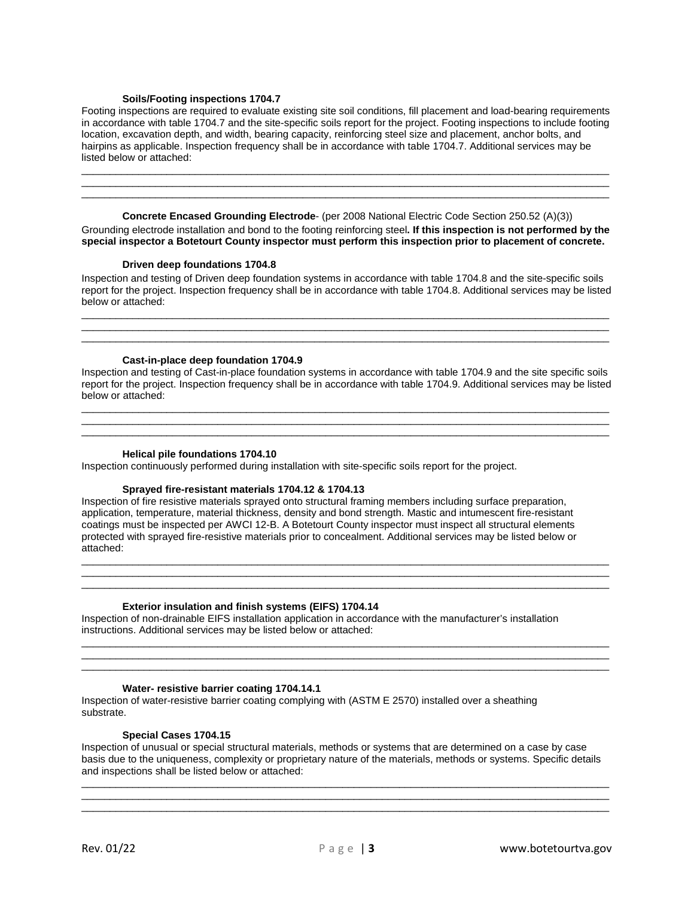#### **Soils/Footing inspections 1704.7**

Footing inspections are required to evaluate existing site soil conditions, fill placement and load-bearing requirements in accordance with table 1704.7 and the site-specific soils report for the project. Footing inspections to include footing location, excavation depth, and width, bearing capacity, reinforcing steel size and placement, anchor bolts, and hairpins as applicable. Inspection frequency shall be in accordance with table 1704.7. Additional services may be listed below or attached:

 $\overline{\phantom{a}}$  ,  $\overline{\phantom{a}}$  ,  $\overline{\phantom{a}}$  ,  $\overline{\phantom{a}}$  ,  $\overline{\phantom{a}}$  ,  $\overline{\phantom{a}}$  ,  $\overline{\phantom{a}}$  ,  $\overline{\phantom{a}}$  ,  $\overline{\phantom{a}}$  ,  $\overline{\phantom{a}}$  ,  $\overline{\phantom{a}}$  ,  $\overline{\phantom{a}}$  ,  $\overline{\phantom{a}}$  ,  $\overline{\phantom{a}}$  ,  $\overline{\phantom{a}}$  ,  $\overline{\phantom{a}}$  $\_$  ,  $\_$  ,  $\_$  ,  $\_$  ,  $\_$  ,  $\_$  ,  $\_$  ,  $\_$  ,  $\_$  ,  $\_$  ,  $\_$  ,  $\_$  ,  $\_$  ,  $\_$  ,  $\_$  ,  $\_$  ,  $\_$  ,  $\_$  ,  $\_$  ,  $\_$  ,  $\_$  ,  $\_$  ,  $\_$  ,  $\_$  ,  $\_$  ,  $\_$  ,  $\_$  ,  $\_$  ,  $\_$  ,  $\_$  ,  $\_$  ,  $\_$  ,  $\_$  ,  $\_$  ,  $\_$  ,  $\_$  ,  $\_$  ,  $\overline{\phantom{a}}$  ,  $\overline{\phantom{a}}$  ,  $\overline{\phantom{a}}$  ,  $\overline{\phantom{a}}$  ,  $\overline{\phantom{a}}$  ,  $\overline{\phantom{a}}$  ,  $\overline{\phantom{a}}$  ,  $\overline{\phantom{a}}$  ,  $\overline{\phantom{a}}$  ,  $\overline{\phantom{a}}$  ,  $\overline{\phantom{a}}$  ,  $\overline{\phantom{a}}$  ,  $\overline{\phantom{a}}$  ,  $\overline{\phantom{a}}$  ,  $\overline{\phantom{a}}$  ,  $\overline{\phantom{a}}$ 

**Concrete Encased Grounding Electrode**- (per 2008 National Electric Code Section 250.52 (A)(3)) Grounding electrode installation and bond to the footing reinforcing steel**. If this inspection is not performed by the special inspector a Botetourt County inspector must perform this inspection prior to placement of concrete.**

#### **Driven deep foundations 1704.8**

Inspection and testing of Driven deep foundation systems in accordance with table 1704.8 and the site-specific soils report for the project. Inspection frequency shall be in accordance with table 1704.8. Additional services may be listed below or attached:

 $\overline{\phantom{a}}$  ,  $\overline{\phantom{a}}$  ,  $\overline{\phantom{a}}$  ,  $\overline{\phantom{a}}$  ,  $\overline{\phantom{a}}$  ,  $\overline{\phantom{a}}$  ,  $\overline{\phantom{a}}$  ,  $\overline{\phantom{a}}$  ,  $\overline{\phantom{a}}$  ,  $\overline{\phantom{a}}$  ,  $\overline{\phantom{a}}$  ,  $\overline{\phantom{a}}$  ,  $\overline{\phantom{a}}$  ,  $\overline{\phantom{a}}$  ,  $\overline{\phantom{a}}$  ,  $\overline{\phantom{a}}$  $\overline{\phantom{a}}$  , and the contribution of the contribution of the contribution of the contribution of the contribution of the contribution of the contribution of the contribution of the contribution of the contribution of the  $\_$  ,  $\_$  ,  $\_$  ,  $\_$  ,  $\_$  ,  $\_$  ,  $\_$  ,  $\_$  ,  $\_$  ,  $\_$  ,  $\_$  ,  $\_$  ,  $\_$  ,  $\_$  ,  $\_$  ,  $\_$  ,  $\_$  ,  $\_$  ,  $\_$  ,  $\_$  ,  $\_$  ,  $\_$  ,  $\_$  ,  $\_$  ,  $\_$  ,  $\_$  ,  $\_$  ,  $\_$  ,  $\_$  ,  $\_$  ,  $\_$  ,  $\_$  ,  $\_$  ,  $\_$  ,  $\_$  ,  $\_$  ,  $\_$  ,

#### **Cast-in-place deep foundation 1704.9**

Inspection and testing of Cast-in-place foundation systems in accordance with table 1704.9 and the site specific soils report for the project. Inspection frequency shall be in accordance with table 1704.9. Additional services may be listed below or attached:

 $\overline{\phantom{a}}$  ,  $\overline{\phantom{a}}$  ,  $\overline{\phantom{a}}$  ,  $\overline{\phantom{a}}$  ,  $\overline{\phantom{a}}$  ,  $\overline{\phantom{a}}$  ,  $\overline{\phantom{a}}$  ,  $\overline{\phantom{a}}$  ,  $\overline{\phantom{a}}$  ,  $\overline{\phantom{a}}$  ,  $\overline{\phantom{a}}$  ,  $\overline{\phantom{a}}$  ,  $\overline{\phantom{a}}$  ,  $\overline{\phantom{a}}$  ,  $\overline{\phantom{a}}$  ,  $\overline{\phantom{a}}$  $\overline{\phantom{a}}$  ,  $\overline{\phantom{a}}$  ,  $\overline{\phantom{a}}$  ,  $\overline{\phantom{a}}$  ,  $\overline{\phantom{a}}$  ,  $\overline{\phantom{a}}$  ,  $\overline{\phantom{a}}$  ,  $\overline{\phantom{a}}$  ,  $\overline{\phantom{a}}$  ,  $\overline{\phantom{a}}$  ,  $\overline{\phantom{a}}$  ,  $\overline{\phantom{a}}$  ,  $\overline{\phantom{a}}$  ,  $\overline{\phantom{a}}$  ,  $\overline{\phantom{a}}$  ,  $\overline{\phantom{a}}$  $\_$  ,  $\_$  ,  $\_$  ,  $\_$  ,  $\_$  ,  $\_$  ,  $\_$  ,  $\_$  ,  $\_$  ,  $\_$  ,  $\_$  ,  $\_$  ,  $\_$  ,  $\_$  ,  $\_$  ,  $\_$  ,  $\_$  ,  $\_$  ,  $\_$  ,  $\_$  ,  $\_$  ,  $\_$  ,  $\_$  ,  $\_$  ,  $\_$  ,  $\_$  ,  $\_$  ,  $\_$  ,  $\_$  ,  $\_$  ,  $\_$  ,  $\_$  ,  $\_$  ,  $\_$  ,  $\_$  ,  $\_$  ,  $\_$  ,

#### **Helical pile foundations 1704.10**

Inspection continuously performed during installation with site-specific soils report for the project.

#### **Sprayed fire-resistant materials 1704.12 & 1704.13**

Inspection of fire resistive materials sprayed onto structural framing members including surface preparation, application, temperature, material thickness, density and bond strength. Mastic and intumescent fire-resistant coatings must be inspected per AWCI 12-B. A Botetourt County inspector must inspect all structural elements protected with sprayed fire-resistive materials prior to concealment. Additional services may be listed below or attached:

\_\_\_\_\_\_\_\_\_\_\_\_\_\_\_\_\_\_\_\_\_\_\_\_\_\_\_\_\_\_\_\_\_\_\_\_\_\_\_\_\_\_\_\_\_\_\_\_\_\_\_\_\_\_\_\_\_\_\_\_\_\_\_\_\_\_\_\_\_\_\_\_\_\_\_\_\_\_\_\_\_\_\_\_\_\_\_\_\_\_\_\_\_  $\_$  ,  $\_$  ,  $\_$  ,  $\_$  ,  $\_$  ,  $\_$  ,  $\_$  ,  $\_$  ,  $\_$  ,  $\_$  ,  $\_$  ,  $\_$  ,  $\_$  ,  $\_$  ,  $\_$  ,  $\_$  ,  $\_$  ,  $\_$  ,  $\_$  ,  $\_$  ,  $\_$  ,  $\_$  ,  $\_$  ,  $\_$  ,  $\_$  ,  $\_$  ,  $\_$  ,  $\_$  ,  $\_$  ,  $\_$  ,  $\_$  ,  $\_$  ,  $\_$  ,  $\_$  ,  $\_$  ,  $\_$  ,  $\_$  ,  $\overline{\phantom{a}}$  ,  $\overline{\phantom{a}}$  ,  $\overline{\phantom{a}}$  ,  $\overline{\phantom{a}}$  ,  $\overline{\phantom{a}}$  ,  $\overline{\phantom{a}}$  ,  $\overline{\phantom{a}}$  ,  $\overline{\phantom{a}}$  ,  $\overline{\phantom{a}}$  ,  $\overline{\phantom{a}}$  ,  $\overline{\phantom{a}}$  ,  $\overline{\phantom{a}}$  ,  $\overline{\phantom{a}}$  ,  $\overline{\phantom{a}}$  ,  $\overline{\phantom{a}}$  ,  $\overline{\phantom{a}}$ 

\_\_\_\_\_\_\_\_\_\_\_\_\_\_\_\_\_\_\_\_\_\_\_\_\_\_\_\_\_\_\_\_\_\_\_\_\_\_\_\_\_\_\_\_\_\_\_\_\_\_\_\_\_\_\_\_\_\_\_\_\_\_\_\_\_\_\_\_\_\_\_\_\_\_\_\_\_\_\_\_\_\_\_\_\_\_\_\_\_\_\_\_\_  $\overline{\phantom{a}}$  ,  $\overline{\phantom{a}}$  ,  $\overline{\phantom{a}}$  ,  $\overline{\phantom{a}}$  ,  $\overline{\phantom{a}}$  ,  $\overline{\phantom{a}}$  ,  $\overline{\phantom{a}}$  ,  $\overline{\phantom{a}}$  ,  $\overline{\phantom{a}}$  ,  $\overline{\phantom{a}}$  ,  $\overline{\phantom{a}}$  ,  $\overline{\phantom{a}}$  ,  $\overline{\phantom{a}}$  ,  $\overline{\phantom{a}}$  ,  $\overline{\phantom{a}}$  ,  $\overline{\phantom{a}}$  $\_$  ,  $\_$  ,  $\_$  ,  $\_$  ,  $\_$  ,  $\_$  ,  $\_$  ,  $\_$  ,  $\_$  ,  $\_$  ,  $\_$  ,  $\_$  ,  $\_$  ,  $\_$  ,  $\_$  ,  $\_$  ,  $\_$  ,  $\_$  ,  $\_$  ,  $\_$  ,  $\_$  ,  $\_$  ,  $\_$  ,  $\_$  ,  $\_$  ,  $\_$  ,  $\_$  ,  $\_$  ,  $\_$  ,  $\_$  ,  $\_$  ,  $\_$  ,  $\_$  ,  $\_$  ,  $\_$  ,  $\_$  ,  $\_$  ,

#### **Exterior insulation and finish systems (EIFS) 1704.14**

Inspection of non-drainable EIFS installation application in accordance with the manufacturer's installation instructions. Additional services may be listed below or attached:

#### **Water- resistive barrier coating 1704.14.1**

Inspection of water-resistive barrier coating complying with (ASTM E 2570) installed over a sheathing substrate.

#### **Special Cases 1704.15**

Inspection of unusual or special structural materials, methods or systems that are determined on a case by case basis due to the uniqueness, complexity or proprietary nature of the materials, methods or systems. Specific details and inspections shall be listed below or attached:

\_\_\_\_\_\_\_\_\_\_\_\_\_\_\_\_\_\_\_\_\_\_\_\_\_\_\_\_\_\_\_\_\_\_\_\_\_\_\_\_\_\_\_\_\_\_\_\_\_\_\_\_\_\_\_\_\_\_\_\_\_\_\_\_\_\_\_\_\_\_\_\_\_\_\_\_\_\_\_\_\_\_\_\_\_\_\_\_\_\_\_\_\_ \_\_\_\_\_\_\_\_\_\_\_\_\_\_\_\_\_\_\_\_\_\_\_\_\_\_\_\_\_\_\_\_\_\_\_\_\_\_\_\_\_\_\_\_\_\_\_\_\_\_\_\_\_\_\_\_\_\_\_\_\_\_\_\_\_\_\_\_\_\_\_\_\_\_\_\_\_\_\_\_\_\_\_\_\_\_\_\_\_\_\_\_\_ \_\_\_\_\_\_\_\_\_\_\_\_\_\_\_\_\_\_\_\_\_\_\_\_\_\_\_\_\_\_\_\_\_\_\_\_\_\_\_\_\_\_\_\_\_\_\_\_\_\_\_\_\_\_\_\_\_\_\_\_\_\_\_\_\_\_\_\_\_\_\_\_\_\_\_\_\_\_\_\_\_\_\_\_\_\_\_\_\_\_\_\_\_